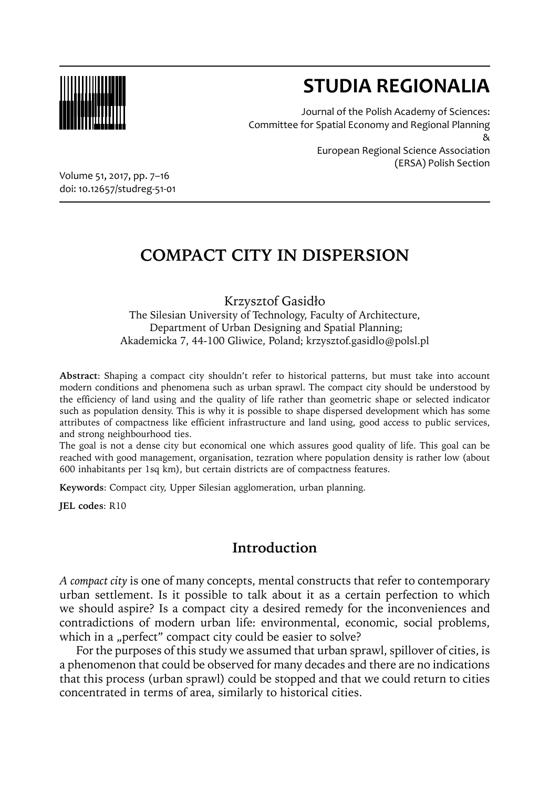

# **STUDIA REGIONALIA**

Journal of the Polish Academy of Sciences: Committee for Spatial Economy and Regional Planning & European Regional Science Association

(ERSA) Polish Section

Volume 51, 2017, pp. 7–16 doi: 10.12657/studreg-51-01

## **COMPACT CITY IN DISPERSION**

Krzysztof Gasidło The Silesian University of Technology, Faculty of Architecture, Department of Urban Designing and Spatial Planning; Akademicka 7, 44-100 Gliwice, Poland; krzysztof.gasidlo@polsl.pl

**Abstract**: Shaping a compact city shouldn't refer to historical patterns, but must take into account modern conditions and phenomena such as urban sprawl. The compact city should be understood by the efficiency of land using and the quality of life rather than geometric shape or selected indicator such as population density. This is why it is possible to shape dispersed development which has some attributes of compactness like efficient infrastructure and land using, good access to public services, and strong neighbourhood ties.

The goal is not a dense city but economical one which assures good quality of life. This goal can be reached with good management, organisation, tezration where population density is rather low (about 600 inhabitants per 1sq km), but certain districts are of compactness features.

**Keywords**: Compact city, Upper Silesian agglomeration, urban planning.

**JEL codes**: R10

#### **Introduction**

*A compact city* is one of many concepts, mental constructs that refer to contemporary urban settlement. Is it possible to talk about it as a certain perfection to which we should aspire? Is a compact city a desired remedy for the inconveniences and contradictions of modern urban life: environmental, economic, social problems, which in a "perfect" compact city could be easier to solve?

For the purposes of this study we assumed that urban sprawl, spillover of cities, is a phenomenon that could be observed for many decades and there are no indications that this process (urban sprawl) could be stopped and that we could return to cities concentrated in terms of area, similarly to historical cities.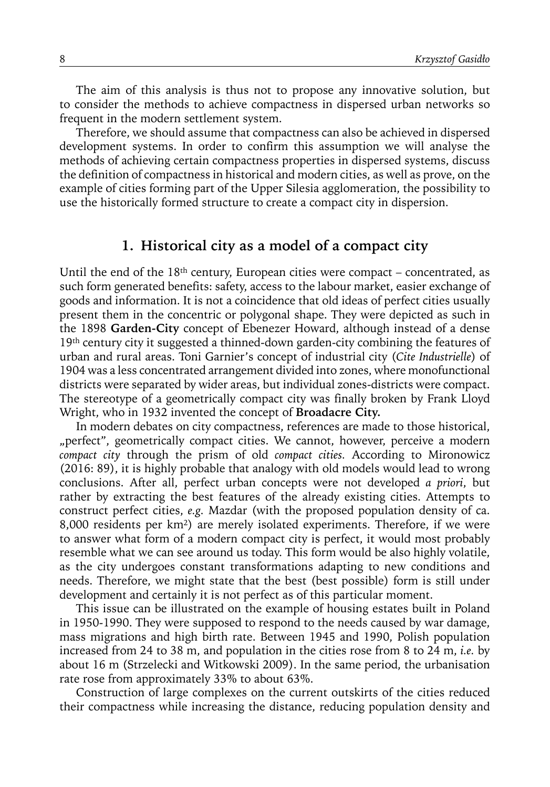The aim of this analysis is thus not to propose any innovative solution, but to consider the methods to achieve compactness in dispersed urban networks so frequent in the modern settlement system.

Therefore, we should assume that compactness can also be achieved in dispersed development systems. In order to confirm this assumption we will analyse the methods of achieving certain compactness properties in dispersed systems, discuss the definition of compactness in historical and modern cities, as well as prove, on the example of cities forming part of the Upper Silesia agglomeration, the possibility to use the historically formed structure to create a compact city in dispersion.

#### **1. Historical city as a model of a compact city**

Until the end of the 18<sup>th</sup> century, European cities were compact – concentrated, as such form generated benefits: safety, access to the labour market, easier exchange of goods and information. It is not a coincidence that old ideas of perfect cities usually present them in the concentric or polygonal shape. They were depicted as such in the 1898 **Garden-City** concept of Ebenezer Howard, although instead of a dense 19<sup>th</sup> century city it suggested a thinned-down garden-city combining the features of urban and rural areas. Toni Garnier's concept of industrial city (*Cite Industrielle*) of 1904 was a less concentrated arrangement divided into zones, where monofunctional districts were separated by wider areas, but individual zones-districts were compact. The stereotype of a geometrically compact city was finally broken by Frank Lloyd Wright, who in 1932 invented the concept of **Broadacre City.**

In modern debates on city compactness, references are made to those historical, "perfect", geometrically compact cities. We cannot, however, perceive a modern *compact city* through the prism of old *compact cities.* According to Mironowicz (2016: 89), it is highly probable that analogy with old models would lead to wrong conclusions. After all, perfect urban concepts were not developed *a priori*, but rather by extracting the best features of the already existing cities. Attempts to construct perfect cities, *e.g.* Mazdar (with the proposed population density of ca. 8,000 residents per km2) are merely isolated experiments. Therefore, if we were to answer what form of a modern compact city is perfect, it would most probably resemble what we can see around us today. This form would be also highly volatile, as the city undergoes constant transformations adapting to new conditions and needs. Therefore, we might state that the best (best possible) form is still under development and certainly it is not perfect as of this particular moment.

This issue can be illustrated on the example of housing estates built in Poland in 1950-1990. They were supposed to respond to the needs caused by war damage, mass migrations and high birth rate. Between 1945 and 1990, Polish population increased from 24 to 38 m, and population in the cities rose from 8 to 24 m, *i.e.* by about 16 m (Strzelecki and Witkowski 2009). In the same period, the urbanisation rate rose from approximately 33% to about 63%.

Construction of large complexes on the current outskirts of the cities reduced their compactness while increasing the distance, reducing population density and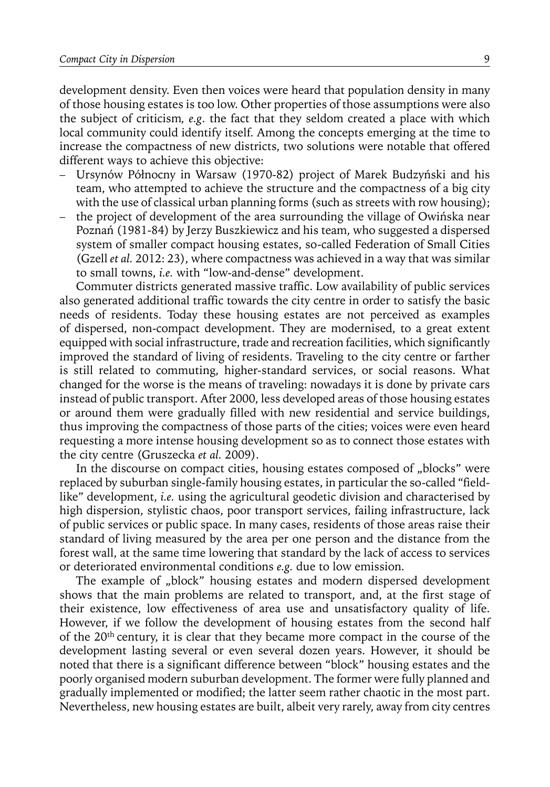development density. Even then voices were heard that population density in many of those housing estates is too low. Other properties of those assumptions were also the subject of criticism*, e.g*. the fact that they seldom created a place with which local community could identify itself. Among the concepts emerging at the time to increase the compactness of new districts, two solutions were notable that offered different ways to achieve this objective:

- Ursynów Północny in Warsaw (1970-82) project of Marek Budzyński and his team, who attempted to achieve the structure and the compactness of a big city with the use of classical urban planning forms (such as streets with row housing);
- the project of development of the area surrounding the village of Owińska near Poznań (1981-84) by Jerzy Buszkiewicz and his team, who suggested a dispersed system of smaller compact housing estates, so-called Federation of Small Cities (Gzell *et al.* 2012: 23), where compactness was achieved in a way that was similar to small towns, *i.e.* with "low-and-dense" development.

Commuter districts generated massive traffic. Low availability of public services also generated additional traffic towards the city centre in order to satisfy the basic needs of residents. Today these housing estates are not perceived as examples of dispersed, non-compact development. They are modernised, to a great extent equipped with social infrastructure, trade and recreation facilities, which significantly improved the standard of living of residents. Traveling to the city centre or farther is still related to commuting, higher-standard services, or social reasons. What changed for the worse is the means of traveling: nowadays it is done by private cars instead of public transport. After 2000, less developed areas of those housing estates or around them were gradually filled with new residential and service buildings, thus improving the compactness of those parts of the cities; voices were even heard requesting a more intense housing development so as to connect those estates with the city centre (Gruszecka *et al.* 2009).

In the discourse on compact cities, housing estates composed of "blocks" were replaced by suburban single-family housing estates, in particular the so-called "fieldlike" development, *i.e.* using the agricultural geodetic division and characterised by high dispersion, stylistic chaos, poor transport services, failing infrastructure, lack of public services or public space. In many cases, residents of those areas raise their standard of living measured by the area per one person and the distance from the forest wall, at the same time lowering that standard by the lack of access to services or deteriorated environmental conditions *e.g.* due to low emission.

The example of "block" housing estates and modern dispersed development shows that the main problems are related to transport, and, at the first stage of their existence, low effectiveness of area use and unsatisfactory quality of life. However, if we follow the development of housing estates from the second half of the 20th century, it is clear that they became more compact in the course of the development lasting several or even several dozen years. However, it should be noted that there is a significant difference between "block" housing estates and the poorly organised modern suburban development. The former were fully planned and gradually implemented or modified; the latter seem rather chaotic in the most part. Nevertheless, new housing estates are built, albeit very rarely, away from city centres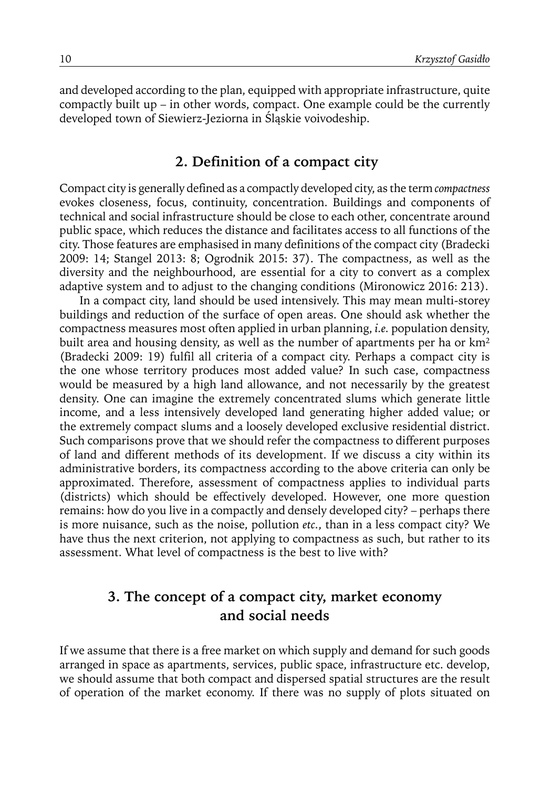and developed according to the plan, equipped with appropriate infrastructure, quite compactly built up – in other words, compact. One example could be the currently developed town of Siewierz-Jeziorna in Śląskie voivodeship.

#### **2. Definition of a compact city**

Compact city is generally defined as a compactly developed city, as the term *compactness* evokes closeness, focus, continuity, concentration. Buildings and components of technical and social infrastructure should be close to each other, concentrate around public space, which reduces the distance and facilitates access to all functions of the city. Those features are emphasised in many definitions of the compact city (Bradecki 2009: 14; Stangel 2013: 8; Ogrodnik 2015: 37). The compactness, as well as the diversity and the neighbourhood, are essential for a city to convert as a complex adaptive system and to adjust to the changing conditions (Mironowicz 2016: 213).

 In a compact city, land should be used intensively. This may mean multi-storey buildings and reduction of the surface of open areas. One should ask whether the compactness measures most often applied in urban planning, *i.e.* population density, built area and housing density, as well as the number of apartments per ha or km<sup>2</sup> (Bradecki 2009: 19) fulfil all criteria of a compact city. Perhaps a compact city is the one whose territory produces most added value? In such case, compactness would be measured by a high land allowance, and not necessarily by the greatest density. One can imagine the extremely concentrated slums which generate little income, and a less intensively developed land generating higher added value; or the extremely compact slums and a loosely developed exclusive residential district. Such comparisons prove that we should refer the compactness to different purposes of land and different methods of its development. If we discuss a city within its administrative borders, its compactness according to the above criteria can only be approximated. Therefore, assessment of compactness applies to individual parts (districts) which should be effectively developed. However, one more question remains: how do you live in a compactly and densely developed city? – perhaps there is more nuisance, such as the noise, pollution *etc.*, than in a less compact city? We have thus the next criterion, not applying to compactness as such, but rather to its assessment. What level of compactness is the best to live with?

#### **3. The concept of a compact city, market economy and social needs**

If we assume that there is a free market on which supply and demand for such goods arranged in space as apartments, services, public space, infrastructure etc. develop, we should assume that both compact and dispersed spatial structures are the result of operation of the market economy. If there was no supply of plots situated on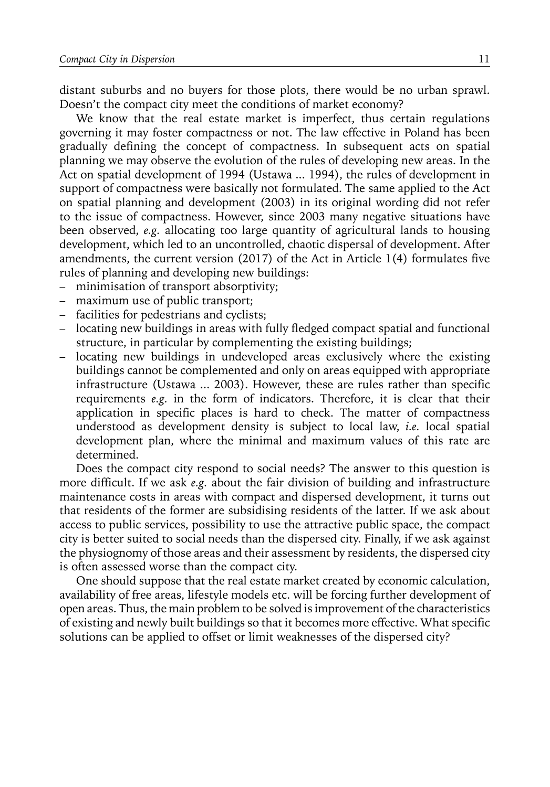distant suburbs and no buyers for those plots, there would be no urban sprawl. Doesn't the compact city meet the conditions of market economy?

We know that the real estate market is imperfect, thus certain regulations governing it may foster compactness or not. The law effective in Poland has been gradually defining the concept of compactness. In subsequent acts on spatial planning we may observe the evolution of the rules of developing new areas. In the Act on spatial development of 1994 (Ustawa ... 1994), the rules of development in support of compactness were basically not formulated. The same applied to the Act on spatial planning and development (2003) in its original wording did not refer to the issue of compactness. However, since 2003 many negative situations have been observed, *e.g.* allocating too large quantity of agricultural lands to housing development, which led to an uncontrolled, chaotic dispersal of development. After amendments, the current version (2017) of the Act in Article 1(4) formulates five rules of planning and developing new buildings:

- minimisation of transport absorptivity;
- maximum use of public transport;
- facilities for pedestrians and cyclists;
- locating new buildings in areas with fully fledged compact spatial and functional structure, in particular by complementing the existing buildings;
- locating new buildings in undeveloped areas exclusively where the existing buildings cannot be complemented and only on areas equipped with appropriate infrastructure (Ustawa ... 2003). However, these are rules rather than specific requirements *e.g.* in the form of indicators. Therefore, it is clear that their application in specific places is hard to check. The matter of compactness understood as development density is subject to local law, *i.e.* local spatial development plan, where the minimal and maximum values of this rate are determined.

Does the compact city respond to social needs? The answer to this question is more difficult. If we ask *e.g.* about the fair division of building and infrastructure maintenance costs in areas with compact and dispersed development, it turns out that residents of the former are subsidising residents of the latter. If we ask about access to public services, possibility to use the attractive public space, the compact city is better suited to social needs than the dispersed city. Finally, if we ask against the physiognomy of those areas and their assessment by residents, the dispersed city is often assessed worse than the compact city.

One should suppose that the real estate market created by economic calculation, availability of free areas, lifestyle models etc. will be forcing further development of open areas. Thus, the main problem to be solved is improvement of the characteristics of existing and newly built buildings so that it becomes more effective. What specific solutions can be applied to offset or limit weaknesses of the dispersed city?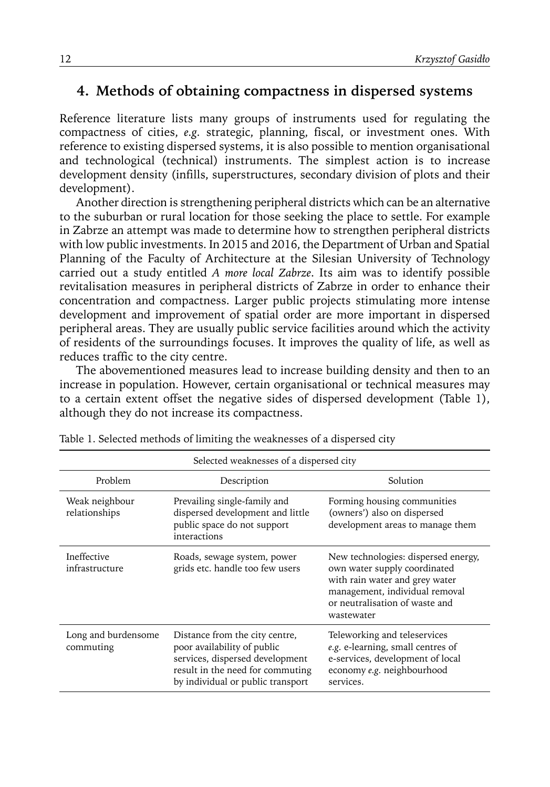#### **4. Methods of obtaining compactness in dispersed systems**

Reference literature lists many groups of instruments used for regulating the compactness of cities, *e.g.* strategic, planning, fiscal, or investment ones. With reference to existing dispersed systems, it is also possible to mention organisational and technological (technical) instruments. The simplest action is to increase development density (infills, superstructures, secondary division of plots and their development).

Another direction is strengthening peripheral districts which can be an alternative to the suburban or rural location for those seeking the place to settle. For example in Zabrze an attempt was made to determine how to strengthen peripheral districts with low public investments. In 2015 and 2016, the Department of Urban and Spatial Planning of the Faculty of Architecture at the Silesian University of Technology carried out a study entitled *A more local Zabrze*. Its aim was to identify possible revitalisation measures in peripheral districts of Zabrze in order to enhance their concentration and compactness. Larger public projects stimulating more intense development and improvement of spatial order are more important in dispersed peripheral areas. They are usually public service facilities around which the activity of residents of the surroundings focuses. It improves the quality of life, as well as reduces traffic to the city centre.

The abovementioned measures lead to increase building density and then to an increase in population. However, certain organisational or technical measures may to a certain extent offset the negative sides of dispersed development (Table 1), although they do not increase its compactness.

| Selected weaknesses of a dispersed city |                                                                                                                                                                           |                                                                                                                                                                                         |
|-----------------------------------------|---------------------------------------------------------------------------------------------------------------------------------------------------------------------------|-----------------------------------------------------------------------------------------------------------------------------------------------------------------------------------------|
| Problem                                 | Description                                                                                                                                                               | Solution                                                                                                                                                                                |
| Weak neighbour<br>relationships         | Prevailing single-family and<br>dispersed development and little<br>public space do not support<br>interactions                                                           | Forming housing communities<br>(owners') also on dispersed<br>development areas to manage them                                                                                          |
| Ineffective<br>infrastructure           | Roads, sewage system, power<br>grids etc. handle too few users                                                                                                            | New technologies: dispersed energy,<br>own water supply coordinated<br>with rain water and grey water<br>management, individual removal<br>or neutralisation of waste and<br>wastewater |
| Long and burdensome<br>commuting        | Distance from the city centre,<br>poor availability of public<br>services, dispersed development<br>result in the need for commuting<br>by individual or public transport | Teleworking and teleservices<br>e.g. e-learning, small centres of<br>e-services, development of local<br>economy e.g. neighbourhood<br>services.                                        |

Table 1. Selected methods of limiting the weaknesses of a dispersed city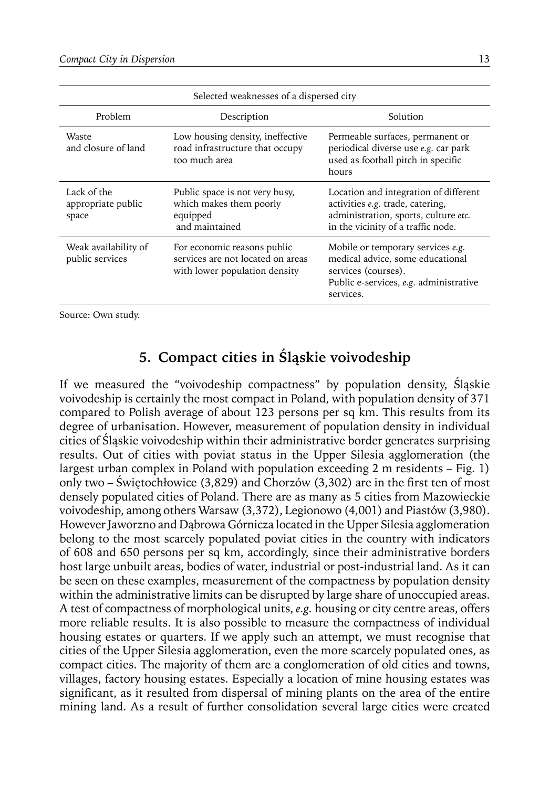| Selected weaknesses of a dispersed city    |                                                                                                   |                                                                                                                                                         |
|--------------------------------------------|---------------------------------------------------------------------------------------------------|---------------------------------------------------------------------------------------------------------------------------------------------------------|
| Problem                                    | Description                                                                                       | Solution                                                                                                                                                |
| Waste<br>and closure of land               | Low housing density, ineffective<br>road infrastructure that occupy<br>too much area              | Permeable surfaces, permanent or<br>periodical diverse use e.g. car park<br>used as football pitch in specific<br>hours                                 |
| Lack of the<br>appropriate public<br>space | Public space is not very busy,<br>which makes them poorly<br>equipped<br>and maintained           | Location and integration of different<br>activities e.g. trade, catering,<br>administration, sports, culture etc.<br>in the vicinity of a traffic node. |
| Weak availability of<br>public services    | For economic reasons public<br>services are not located on areas<br>with lower population density | Mobile or temporary services e.g.<br>medical advice, some educational<br>services (courses).<br>Public e-services, e.g. administrative<br>services.     |

Source: Own study.

### **5. Compact cities in Śląskie voivodeship**

If we measured the "voivodeship compactness" by population density, Śląskie voivodeship is certainly the most compact in Poland, with population density of 371 compared to Polish average of about 123 persons per sq km. This results from its degree of urbanisation. However, measurement of population density in individual cities of Śląskie voivodeship within their administrative border generates surprising results. Out of cities with poviat status in the Upper Silesia agglomeration (the largest urban complex in Poland with population exceeding 2 m residents – Fig. 1) only two – Świętochłowice (3,829) and Chorzów (3,302) are in the first ten of most densely populated cities of Poland. There are as many as 5 cities from Mazowieckie voivodeship, among others Warsaw (3,372), Legionowo (4,001) and Piastów (3,980). However Jaworzno and Dąbrowa Górnicza located in the Upper Silesia agglomeration belong to the most scarcely populated poviat cities in the country with indicators of 608 and 650 persons per sq km, accordingly, since their administrative borders host large unbuilt areas, bodies of water, industrial or post-industrial land. As it can be seen on these examples, measurement of the compactness by population density within the administrative limits can be disrupted by large share of unoccupied areas. A test of compactness of morphological units, *e.g.* housing or city centre areas, offers more reliable results. It is also possible to measure the compactness of individual housing estates or quarters. If we apply such an attempt, we must recognise that cities of the Upper Silesia agglomeration, even the more scarcely populated ones, as compact cities. The majority of them are a conglomeration of old cities and towns, villages, factory housing estates. Especially a location of mine housing estates was significant, as it resulted from dispersal of mining plants on the area of the entire mining land. As a result of further consolidation several large cities were created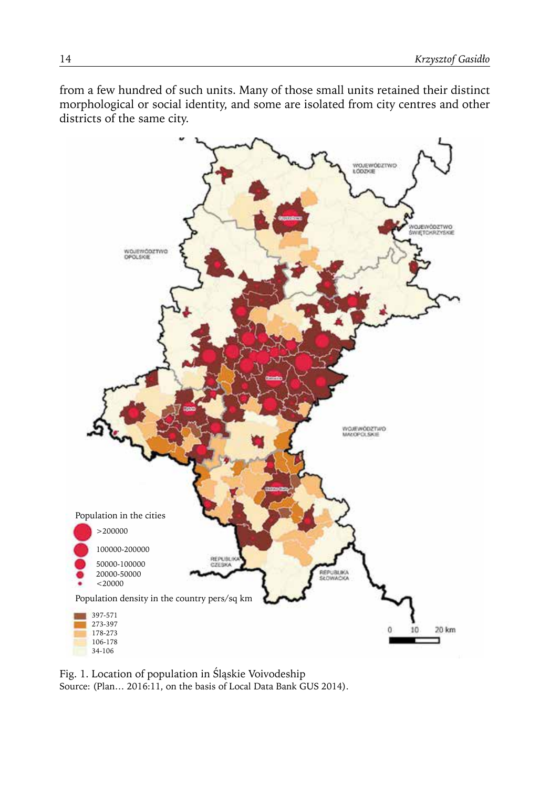from a few hundred of such units. Many of those small units retained their distinct morphological or social identity, and some are isolated from city centres and other districts of the same city.



Fig. 1. Location of population in Śląskie Voivodeship Source: (Plan… 2016:11, on the basis of Local Data Bank GUS 2014).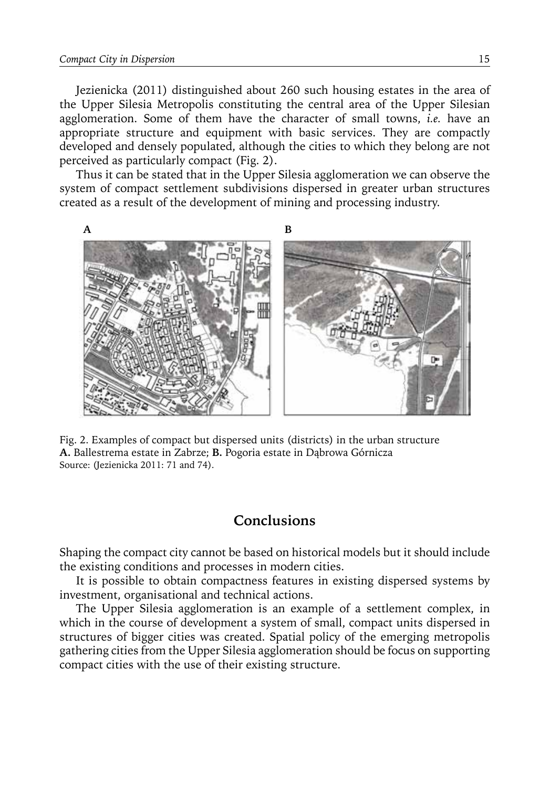Jezienicka (2011) distinguished about 260 such housing estates in the area of the Upper Silesia Metropolis constituting the central area of the Upper Silesian agglomeration. Some of them have the character of small towns, *i.e.* have an appropriate structure and equipment with basic services. They are compactly developed and densely populated, although the cities to which they belong are not perceived as particularly compact (Fig. 2).

Thus it can be stated that in the Upper Silesia agglomeration we can observe the system of compact settlement subdivisions dispersed in greater urban structures created as a result of the development of mining and processing industry.



Fig. 2. Examples of compact but dispersed units (districts) in the urban structure **A.** Ballestrema estate in Zabrze; **B.** Pogoria estate in Dąbrowa Górnicza Source: (Jezienicka 2011: 71 and 74).

#### **Conclusions**

Shaping the compact city cannot be based on historical models but it should include the existing conditions and processes in modern cities.

It is possible to obtain compactness features in existing dispersed systems by investment, organisational and technical actions.

The Upper Silesia agglomeration is an example of a settlement complex, in which in the course of development a system of small, compact units dispersed in structures of bigger cities was created. Spatial policy of the emerging metropolis gathering cities from the Upper Silesia agglomeration should be focus on supporting compact cities with the use of their existing structure.